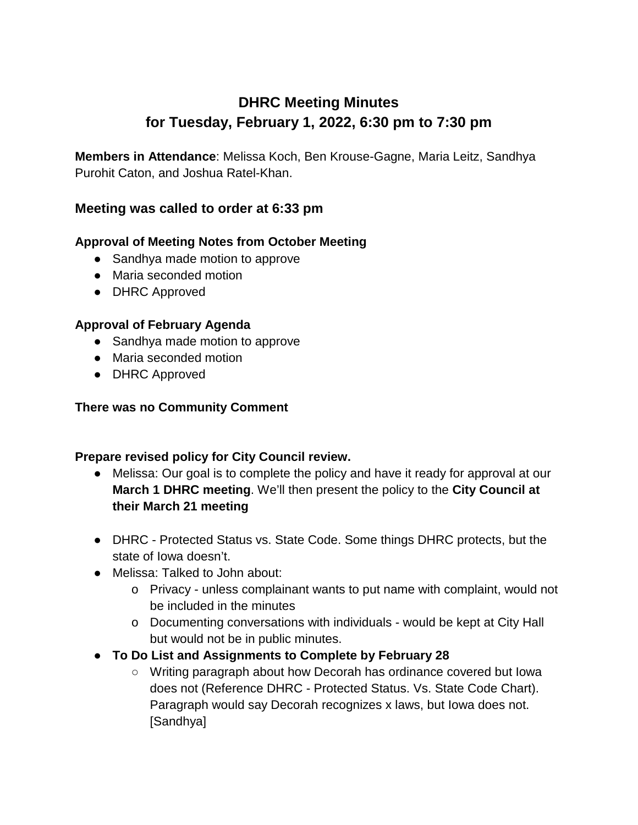# **DHRC Meeting Minutes for Tuesday, February 1, 2022, 6:30 pm to 7:30 pm**

**Members in Attendance**: Melissa Koch, Ben Krouse-Gagne, Maria Leitz, Sandhya Purohit Caton, and Joshua Ratel-Khan.

## **Meeting was called to order at 6:33 pm**

## **Approval of Meeting Notes from October Meeting**

- Sandhya made motion to approve
- Maria seconded motion
- DHRC Approved

### **Approval of February Agenda**

- Sandhya made motion to approve
- Maria seconded motion
- DHRC Approved

#### **There was no Community Comment**

#### **Prepare revised policy for City Council review.**

- Melissa: Our goal is to complete the policy and have it ready for approval at our **March 1 DHRC meeting**. We'll then present the policy to the **City Council at their March 21 meeting**
- DHRC Protected Status vs. State Code. Some things DHRC protects, but the state of Iowa doesn't.
- Melissa: Talked to John about:
	- o Privacy unless complainant wants to put name with complaint, would not be included in the minutes
	- o Documenting conversations with individuals would be kept at City Hall but would not be in public minutes.
- **To Do List and Assignments to Complete by February 28**
	- Writing paragraph about how Decorah has ordinance covered but Iowa does not (Reference DHRC - Protected Status. Vs. State Code Chart). Paragraph would say Decorah recognizes x laws, but Iowa does not. [Sandhya]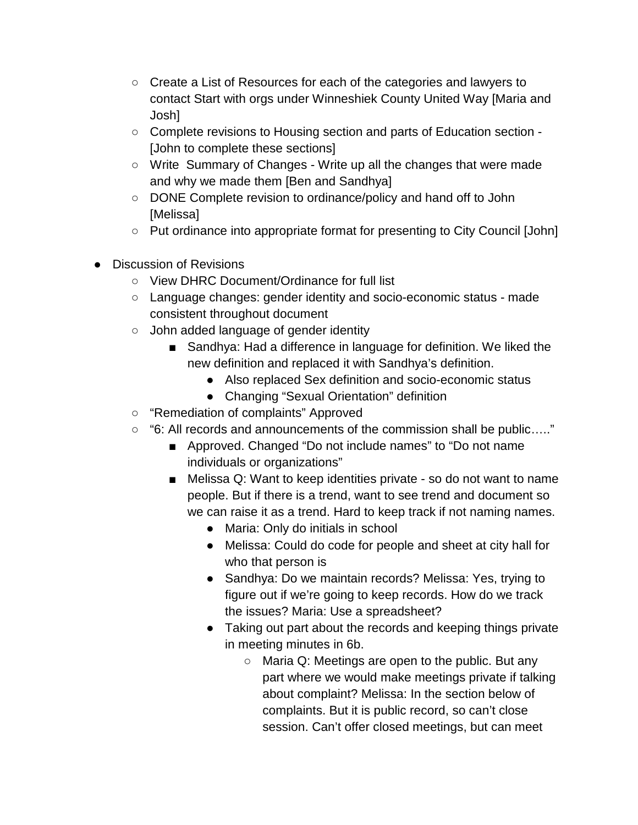- Create a List of Resources for each of the categories and lawyers to contact Start with orgs under Winneshiek County United Way [Maria and Josh]
- Complete revisions to Housing section and parts of Education section [John to complete these sections]
- Write Summary of Changes Write up all the changes that were made and why we made them [Ben and Sandhya]
- DONE Complete revision to ordinance/policy and hand off to John [Melissa]
- Put ordinance into appropriate format for presenting to City Council [John]
- Discussion of Revisions
	- View DHRC Document/Ordinance for full list
	- Language changes: gender identity and socio-economic status made consistent throughout document
	- John added language of gender identity
		- Sandhya: Had a difference in language for definition. We liked the new definition and replaced it with Sandhya's definition.
			- Also replaced Sex definition and socio-economic status
			- Changing "Sexual Orientation" definition
	- "Remediation of complaints" Approved
	- "6: All records and announcements of the commission shall be public….."
		- Approved. Changed "Do not include names" to "Do not name individuals or organizations"
		- Melissa Q: Want to keep identities private so do not want to name people. But if there is a trend, want to see trend and document so we can raise it as a trend. Hard to keep track if not naming names.
			- Maria: Only do initials in school
			- Melissa: Could do code for people and sheet at city hall for who that person is
			- Sandhya: Do we maintain records? Melissa: Yes, trying to figure out if we're going to keep records. How do we track the issues? Maria: Use a spreadsheet?
			- Taking out part about the records and keeping things private in meeting minutes in 6b.
				- $\circ$  Maria Q: Meetings are open to the public. But any part where we would make meetings private if talking about complaint? Melissa: In the section below of complaints. But it is public record, so can't close session. Can't offer closed meetings, but can meet